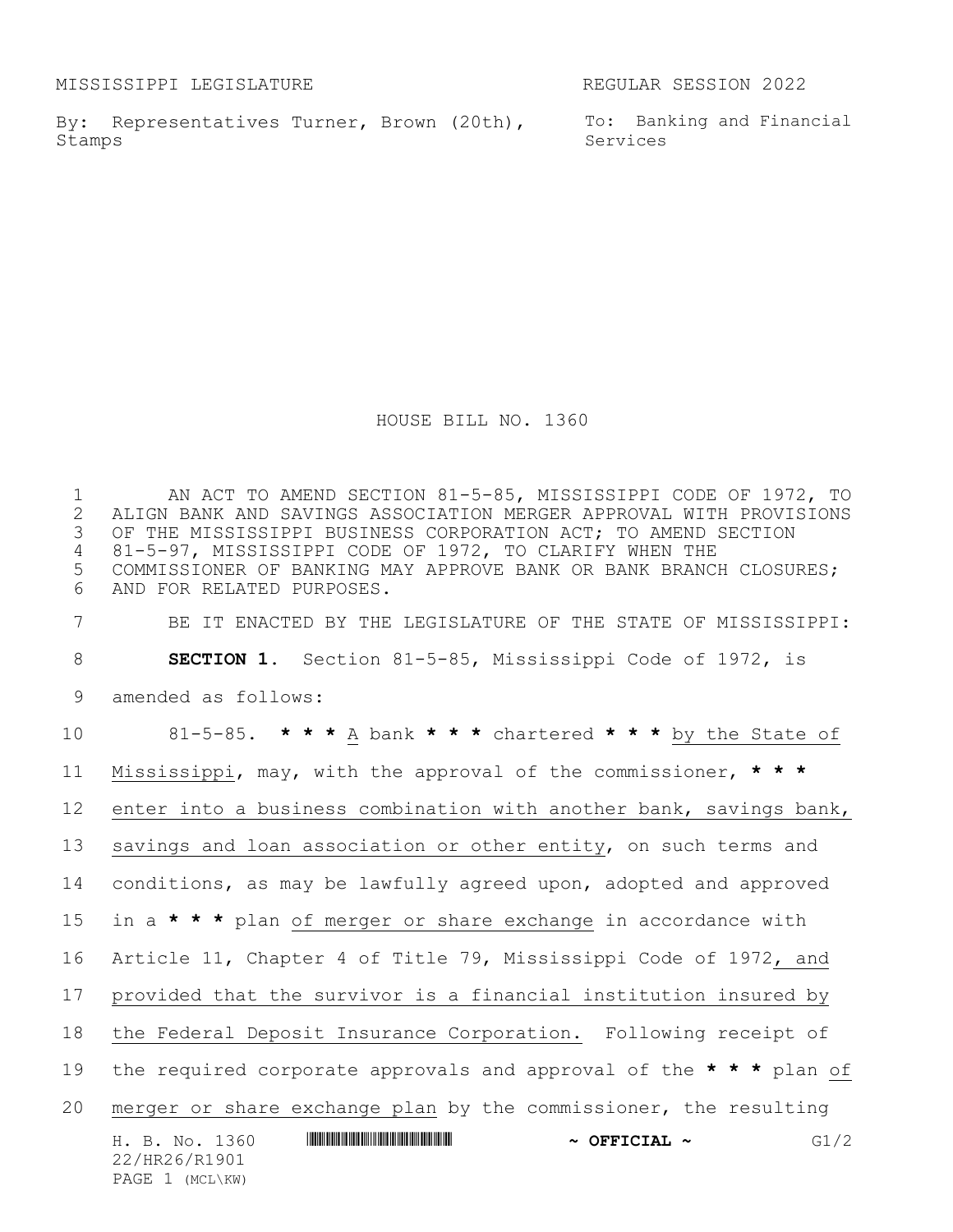MISSISSIPPI LEGISLATURE REGULAR SESSION 2022

By: Representatives Turner, Brown (20th), To: Banking and Financial Stamps

Services

HOUSE BILL NO. 1360

H. B. No. 1360 \*HR26/R1901\* **~ OFFICIAL ~** G1/2 22/HR26/R1901 PAGE 1 (MCL\KW) AN ACT TO AMEND SECTION 81-5-85, MISSISSIPPI CODE OF 1972, TO 2 ALIGN BANK AND SAVINGS ASSOCIATION MERGER APPROVAL WITH PROVISIONS<br>3 OF THE MISSISSIPPI BUSINESS CORPORATION ACT; TO AMEND SECTION OF THE MISSISSIPPI BUSINESS CORPORATION ACT; TO AMEND SECTION 81-5-97, MISSISSIPPI CODE OF 1972, TO CLARIFY WHEN THE COMMISSIONER OF BANKING MAY APPROVE BANK OR BANK BRANCH CLOSURES; AND FOR RELATED PURPOSES. BE IT ENACTED BY THE LEGISLATURE OF THE STATE OF MISSISSIPPI: **SECTION 1.** Section 81-5-85, Mississippi Code of 1972, is amended as follows: 81-5-85. **\* \* \*** A bank **\* \* \*** chartered **\* \* \*** by the State of Mississippi, may, with the approval of the commissioner, **\* \* \*** enter into a business combination with another bank, savings bank, 13 savings and loan association or other entity, on such terms and conditions, as may be lawfully agreed upon, adopted and approved in a **\* \* \*** plan of merger or share exchange in accordance with Article 11, Chapter 4 of Title 79, Mississippi Code of 1972, and provided that the survivor is a financial institution insured by the Federal Deposit Insurance Corporation. Following receipt of the required corporate approvals and approval of the **\* \* \*** plan of merger or share exchange plan by the commissioner, the resulting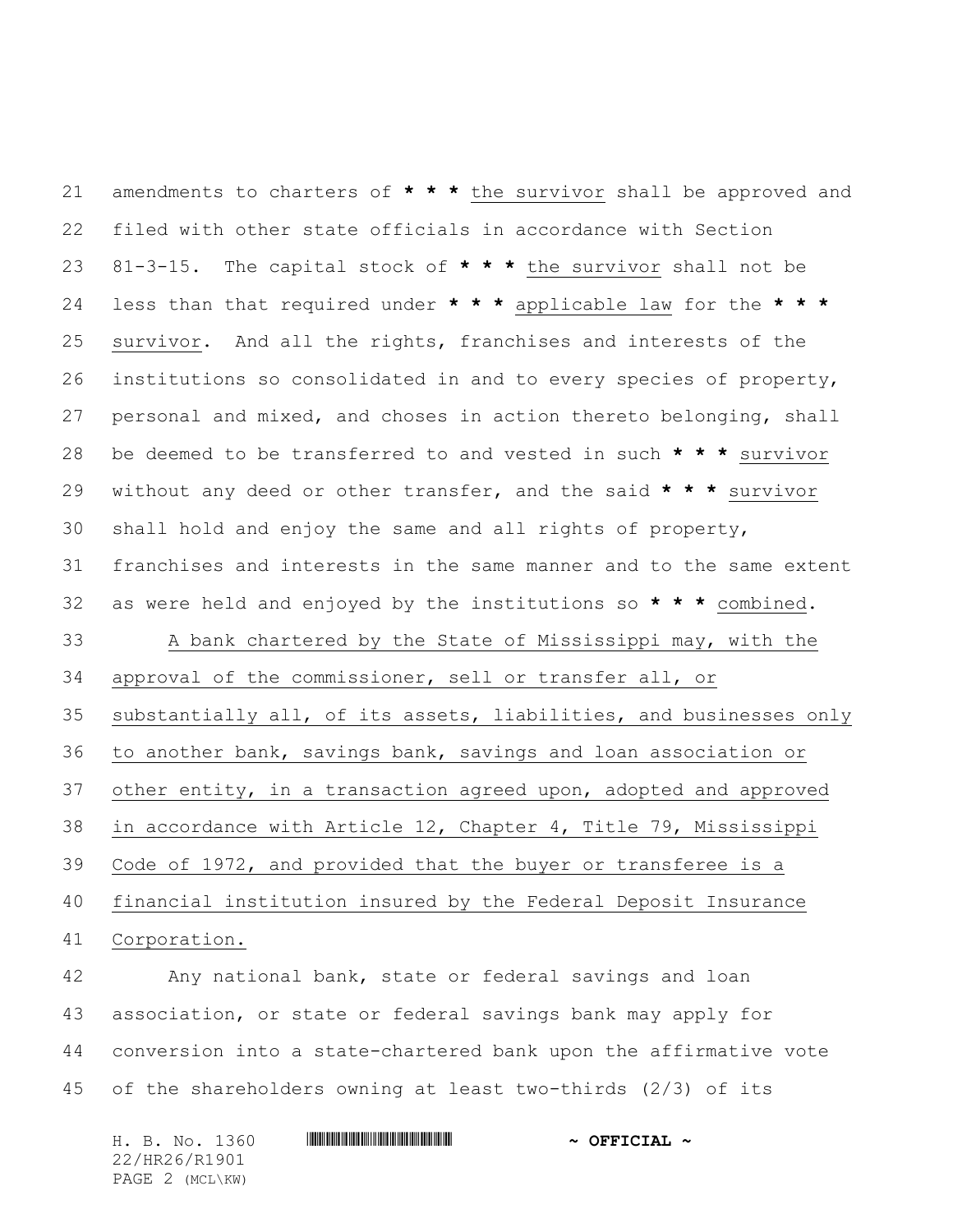amendments to charters of **\* \* \*** the survivor shall be approved and filed with other state officials in accordance with Section 81-3-15. The capital stock of **\* \* \*** the survivor shall not be less than that required under **\* \* \*** applicable law for the **\* \* \*** survivor. And all the rights, franchises and interests of the institutions so consolidated in and to every species of property, personal and mixed, and choses in action thereto belonging, shall be deemed to be transferred to and vested in such **\* \* \*** survivor without any deed or other transfer, and the said **\* \* \*** survivor shall hold and enjoy the same and all rights of property, franchises and interests in the same manner and to the same extent as were held and enjoyed by the institutions so **\* \* \*** combined. A bank chartered by the State of Mississippi may, with the approval of the commissioner, sell or transfer all, or substantially all, of its assets, liabilities, and businesses only to another bank, savings bank, savings and loan association or other entity, in a transaction agreed upon, adopted and approved in accordance with Article 12, Chapter 4, Title 79, Mississippi Code of 1972, and provided that the buyer or transferee is a financial institution insured by the Federal Deposit Insurance Corporation. Any national bank, state or federal savings and loan association, or state or federal savings bank may apply for

 conversion into a state-chartered bank upon the affirmative vote of the shareholders owning at least two-thirds (2/3) of its

22/HR26/R1901 PAGE 2 (MCL\KW)

H. B. No. 1360 **. AND AND AN ADDED EXECUTAL ~**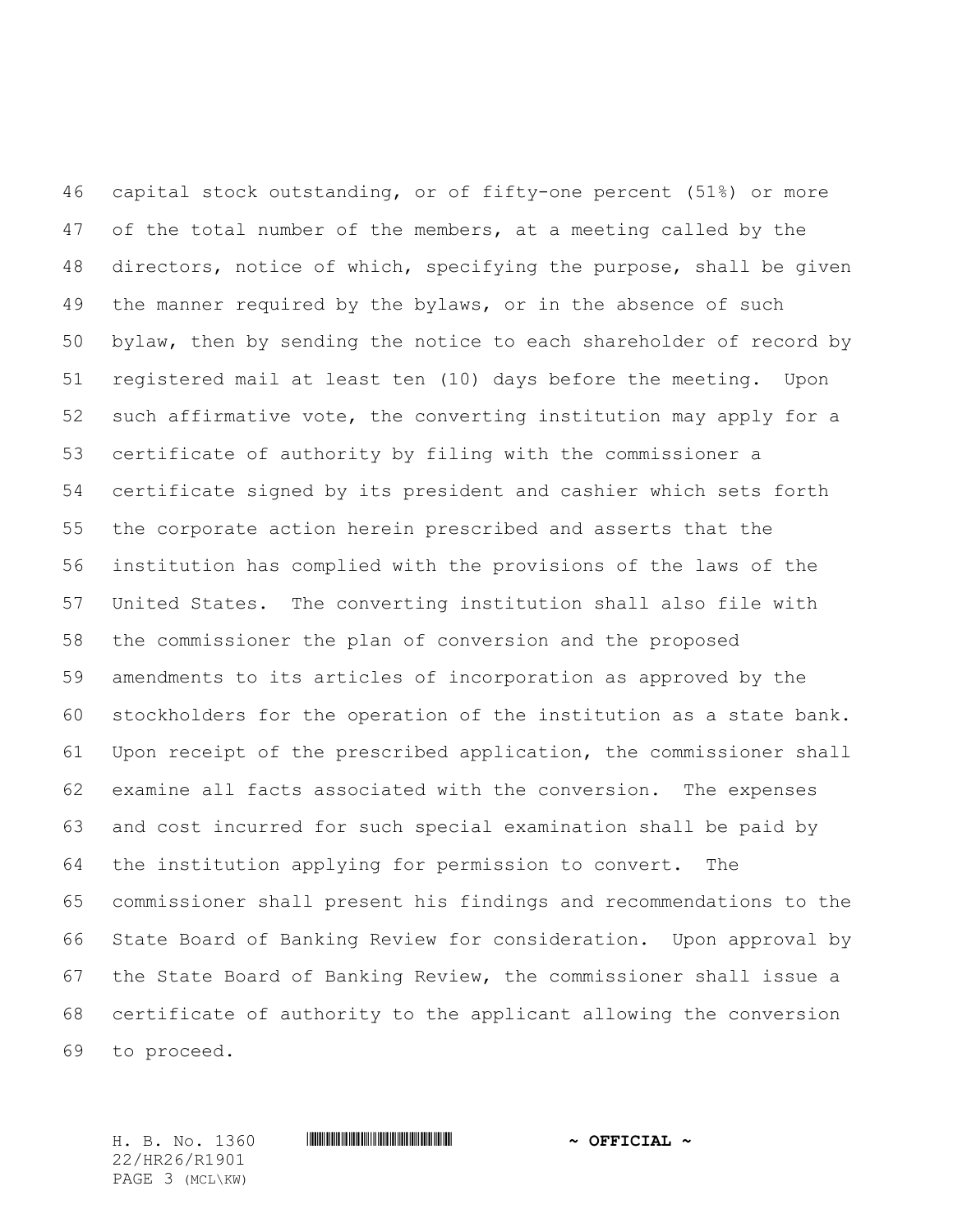capital stock outstanding, or of fifty-one percent (51%) or more 47 of the total number of the members, at a meeting called by the directors, notice of which, specifying the purpose, shall be given the manner required by the bylaws, or in the absence of such bylaw, then by sending the notice to each shareholder of record by registered mail at least ten (10) days before the meeting. Upon such affirmative vote, the converting institution may apply for a certificate of authority by filing with the commissioner a certificate signed by its president and cashier which sets forth the corporate action herein prescribed and asserts that the institution has complied with the provisions of the laws of the United States. The converting institution shall also file with the commissioner the plan of conversion and the proposed amendments to its articles of incorporation as approved by the stockholders for the operation of the institution as a state bank. Upon receipt of the prescribed application, the commissioner shall examine all facts associated with the conversion. The expenses and cost incurred for such special examination shall be paid by the institution applying for permission to convert. The commissioner shall present his findings and recommendations to the State Board of Banking Review for consideration. Upon approval by the State Board of Banking Review, the commissioner shall issue a certificate of authority to the applicant allowing the conversion to proceed.

22/HR26/R1901 PAGE 3 (MCL\KW)

H. B. No. 1360 \*HR26/R1901\* **~ OFFICIAL ~**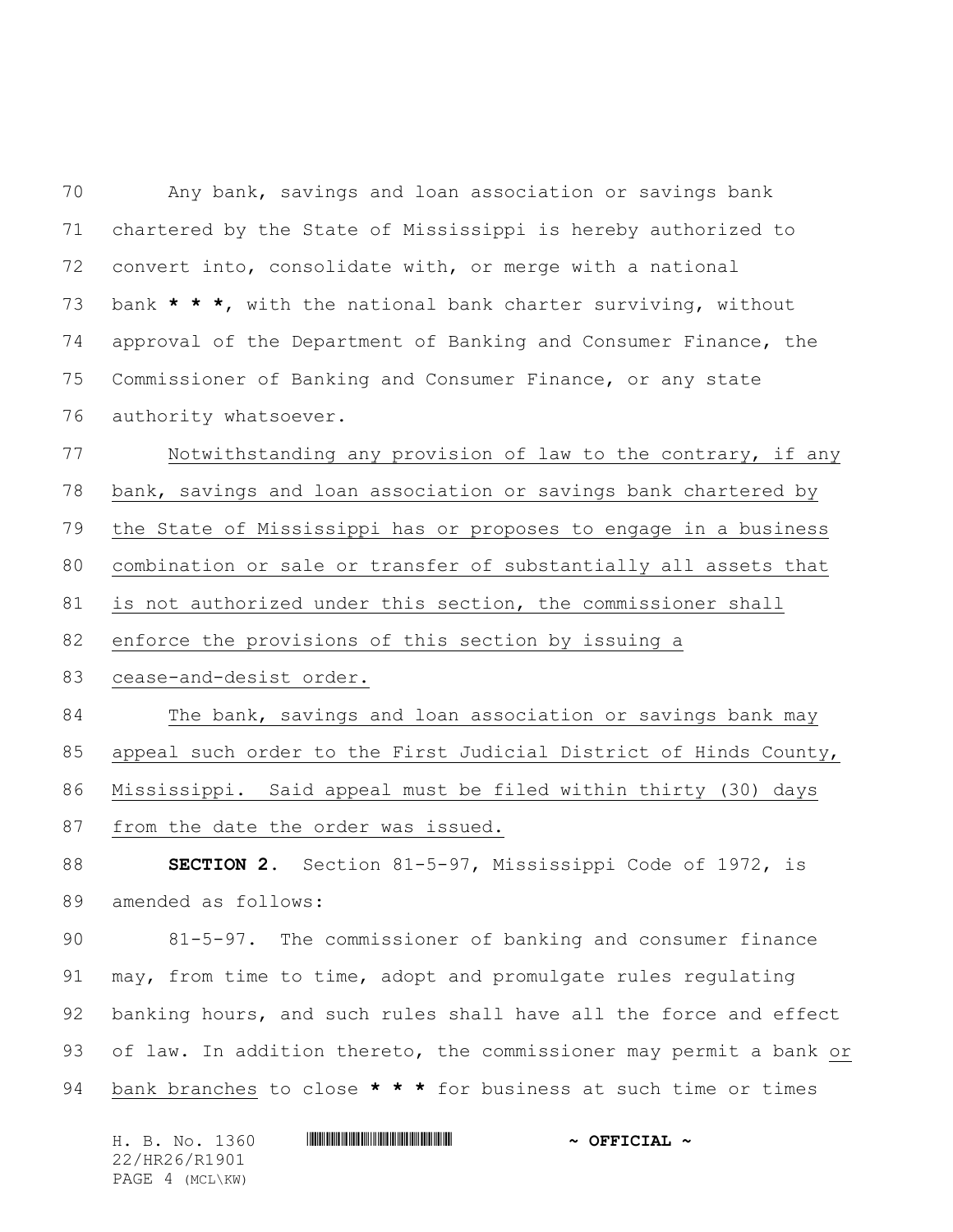Any bank, savings and loan association or savings bank chartered by the State of Mississippi is hereby authorized to convert into, consolidate with, or merge with a national bank **\* \* \***, with the national bank charter surviving, without approval of the Department of Banking and Consumer Finance, the Commissioner of Banking and Consumer Finance, or any state authority whatsoever.

 Notwithstanding any provision of law to the contrary, if any bank, savings and loan association or savings bank chartered by the State of Mississippi has or proposes to engage in a business combination or sale or transfer of substantially all assets that is not authorized under this section, the commissioner shall enforce the provisions of this section by issuing a cease-and-desist order. The bank, savings and loan association or savings bank may appeal such order to the First Judicial District of Hinds County,

Mississippi. Said appeal must be filed within thirty (30) days

from the date the order was issued.

 **SECTION 2.** Section 81-5-97, Mississippi Code of 1972, is amended as follows:

 81-5-97. The commissioner of banking and consumer finance may, from time to time, adopt and promulgate rules regulating banking hours, and such rules shall have all the force and effect of law. In addition thereto, the commissioner may permit a bank or bank branches to close **\* \* \*** for business at such time or times

| H. B. No. 1360  | $\sim$ OFFICIAL $\sim$ |
|-----------------|------------------------|
| 22/HR26/R1901   |                        |
| PAGE 4 (MCL\KW) |                        |